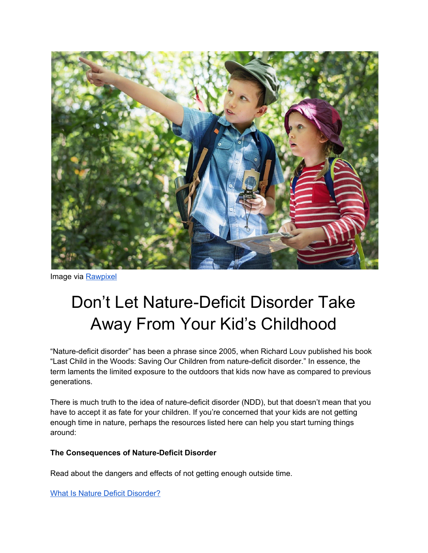

Image via [Rawpixel](https://www.rawpixel.com/image/430979/adventurous-kids)

# Don't Let Nature-Deficit Disorder Take Away From Your Kid's Childhood

"Nature-deficit disorder" has been a phrase since 2005, when Richard Louv published his book "Last Child in the Woods: Saving Our Children from nature-deficit disorder." In essence, the term laments the limited exposure to the outdoors that kids now have as compared to previous generations.

There is much truth to the idea of nature-deficit disorder (NDD), but that doesn't mean that you have to accept it as fate for your children. If you're concerned that your kids are not getting enough time in nature, perhaps the resources listed here can help you start turning things around:

#### **The Consequences of Nature-Deficit Disorder**

Read about the dangers and effects of not getting enough outside time.

What Is Nature Deficit [Disorder?](http://richardlouv.com/blog/what-is-nature-deficit-disorder)